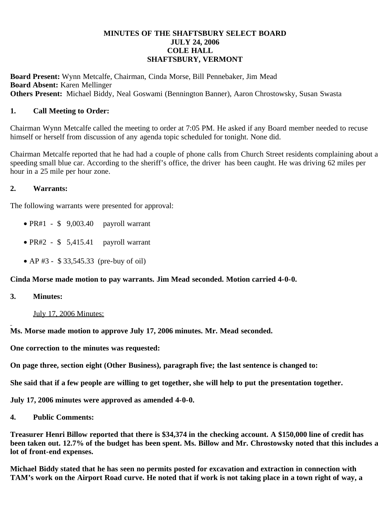## **MINUTES OF THE SHAFTSBURY SELECT BOARD JULY 24, 2006 COLE HALL SHAFTSBURY, VERMONT**

**Board Present:** Wynn Metcalfe, Chairman, Cinda Morse, Bill Pennebaker, Jim Mead **Board Absent:** Karen Mellinger **Others Present:** Michael Biddy, Neal Goswami (Bennington Banner), Aaron Chrostowsky, Susan Swasta

## **1. Call Meeting to Order:**

Chairman Wynn Metcalfe called the meeting to order at 7:05 PM. He asked if any Board member needed to recuse himself or herself from discussion of any agenda topic scheduled for tonight. None did.

Chairman Metcalfe reported that he had had a couple of phone calls from Church Street residents complaining about a speeding small blue car. According to the sheriff's office, the driver has been caught. He was driving 62 miles per hour in a 25 mile per hour zone.

## **2. Warrants:**

The following warrants were presented for approval:

- $\bullet$  PR#1 \$ 9,003.40 payroll warrant
- $\bullet$  PR#2 \$ 5,415.41 payroll warrant
- AP #3 \$ 33,545.33 (pre-buy of oil)

**Cinda Morse made motion to pay warrants. Jim Mead seconded. Motion carried 4-0-0.**

## **3. Minutes:**

July 17, 2006 Minutes:

**Ms. Morse made motion to approve July 17, 2006 minutes. Mr. Mead seconded.**

**One correction to the minutes was requested:**

**On page three, section eight (Other Business), paragraph five; the last sentence is changed to:**

**She said that if a few people are willing to get together, she will help to put the presentation together.**

**July 17, 2006 minutes were approved as amended 4-0-0.**

**4. Public Comments:**

**Treasurer Henri Billow reported that there is \$34,374 in the checking account. A \$150,000 line of credit has been taken out. 12.7% of the budget has been spent. Ms. Billow and Mr. Chrostowsky noted that this includes a lot of front-end expenses.**

**Michael Biddy stated that he has seen no permits posted for excavation and extraction in connection with TAM's work on the Airport Road curve. He noted that if work is not taking place in a town right of way, a**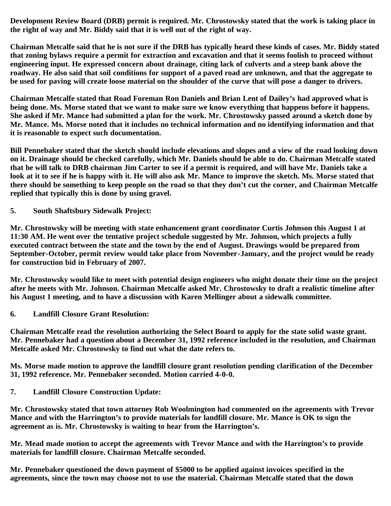**Development Review Board (DRB) permit is required. Mr. Chrostowsky stated that the work is taking place in the right of way and Mr. Biddy said that it is well out of the right of way.**

**Chairman Metcalfe said that he is not sure if the DRB has typically heard these kinds of cases. Mr. Biddy stated that zoning bylaws require a permit for extraction and excavation and that it seems foolish to proceed without engineering input. He expressed concern about drainage, citing lack of culverts and a steep bank above the roadway. He also said that soil conditions for support of a paved road are unknown, and that the aggregate to be used for paving will create loose material on the shoulder of the curve that will pose a danger to drivers.**

**Chairman Metcalfe stated that Road Foreman Ron Daniels and Brian Lent of Dailey's had approved what is being done. Ms. Morse stated that we want to make sure we know everything that happens before it happens. She asked if Mr. Mance had submitted a plan for the work. Mr. Chrostowsky passed around a sketch done by Mr. Mance. Ms. Morse noted that it includes no technical information and no identifying information and that it is reasonable to expect such documentation.**

**Bill Pennebaker stated that the sketch should include elevations and slopes and a view of the road looking down on it. Drainage should be checked carefully, which Mr. Daniels should be able to do. Chairman Metcalfe stated that he will talk to DRB chairman Jim Carter to see if a permit is required, and will have Mr. Daniels take a look at it to see if he is happy with it. He will also ask Mr. Mance to improve the sketch. Ms. Morse stated that there should be something to keep people on the road so that they don't cut the corner, and Chairman Metcalfe replied that typically this is done by using gravel.**

**5. South Shaftsbury Sidewalk Project:**

**Mr. Chrostowsky will be meeting with state enhancement grant coordinator Curtis Johnson this August 1 at 11:30 AM. He went over the tentative project schedule suggested by Mr. Johnson, which projects a fully executed contract between the state and the town by the end of August. Drawings would be prepared from September-October, permit review would take place from November-January, and the project would be ready for construction bid in February of 2007.**

**Mr. Chrostowsky would like to meet with potential design engineers who might donate their time on the project after he meets with Mr. Johnson. Chairman Metcalfe asked Mr. Chrostowsky to draft a realistic timeline after his August 1 meeting, and to have a discussion with Karen Mellinger about a sidewalk committee.**

**6. Landfill Closure Grant Resolution:**

**Chairman Metcalfe read the resolution authorizing the Select Board to apply for the state solid waste grant. Mr. Pennebaker had a question about a December 31, 1992 reference included in the resolution, and Chairman Metcalfe asked Mr. Chrostowsky to find out what the date refers to.**

**Ms. Morse made motion to approve the landfill closure grant resolution pending clarification of the December 31, 1992 reference. Mr. Pennebaker seconded. Motion carried 4-0-0.**

**7. Landfill Closure Construction Update:**

**Mr. Chrostowsky stated that town attorney Rob Woolmington had commented on the agreements with Trevor Mance and with the Harrington's to provide materials for landfill closure. Mr. Mance is OK to sign the agreement as is. Mr. Chrostowsky is waiting to hear from the Harrington's.**

**Mr. Mead made motion to accept the agreements with Trevor Mance and with the Harrington's to provide materials for landfill closure. Chairman Metcalfe seconded.**

**Mr. Pennebaker questioned the down payment of \$5000 to be applied against invoices specified in the agreements, since the town may choose not to use the material. Chairman Metcalfe stated that the down**